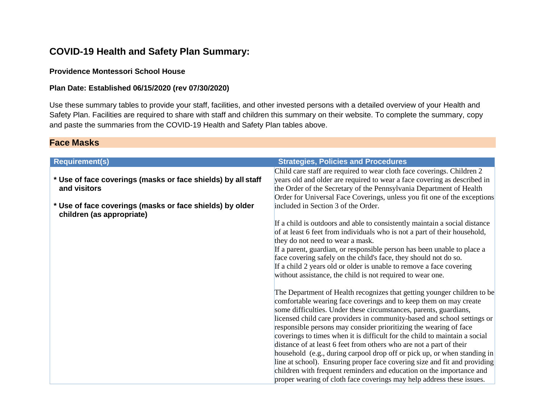## **COVID-19 Health and Safety Plan Summary:**

#### **Providence Montessori School House**

#### **Plan Date: Established 06/15/2020 (rev 07/30/2020)**

Use these summary tables to provide your staff, facilities, and other invested persons with a detailed overview of your Health and Safety Plan. Facilities are required to share with staff and children this summary on their website. To complete the summary, copy and paste the summaries from the COVID-19 Health and Safety Plan tables above.

#### **Face Masks**

| <b>Requirement(s)</b>                                        | <b>Strategies, Policies and Procedures</b>                                 |
|--------------------------------------------------------------|----------------------------------------------------------------------------|
|                                                              | Child care staff are required to wear cloth face coverings. Children 2     |
| * Use of face coverings (masks or face shields) by all staff | years old and older are required to wear a face covering as described in   |
| and visitors                                                 | the Order of the Secretary of the Pennsylvania Department of Health        |
|                                                              | Order for Universal Face Coverings, unless you fit one of the exceptions   |
| * Use of face coverings (masks or face shields) by older     | included in Section 3 of the Order.                                        |
| children (as appropriate)                                    |                                                                            |
|                                                              | If a child is outdoors and able to consistently maintain a social distance |
|                                                              | of at least 6 feet from individuals who is not a part of their household,  |
|                                                              | they do not need to wear a mask.                                           |
|                                                              | If a parent, guardian, or responsible person has been unable to place a    |
|                                                              | face covering safely on the child's face, they should not do so.           |
|                                                              | If a child 2 years old or older is unable to remove a face covering        |
|                                                              | without assistance, the child is not required to wear one.                 |
|                                                              |                                                                            |
|                                                              | The Department of Health recognizes that getting younger children to be    |
|                                                              | comfortable wearing face coverings and to keep them on may create          |
|                                                              | some difficulties. Under these circumstances, parents, guardians,          |
|                                                              | licensed child care providers in community-based and school settings or    |
|                                                              | responsible persons may consider prioritizing the wearing of face          |
|                                                              | coverings to times when it is difficult for the child to maintain a social |
|                                                              | distance of at least 6 feet from others who are not a part of their        |
|                                                              | household (e.g., during carpool drop off or pick up, or when standing in   |
|                                                              | line at school). Ensuring proper face covering size and fit and providing  |
|                                                              | children with frequent reminders and education on the importance and       |
|                                                              | proper wearing of cloth face coverings may help address these issues.      |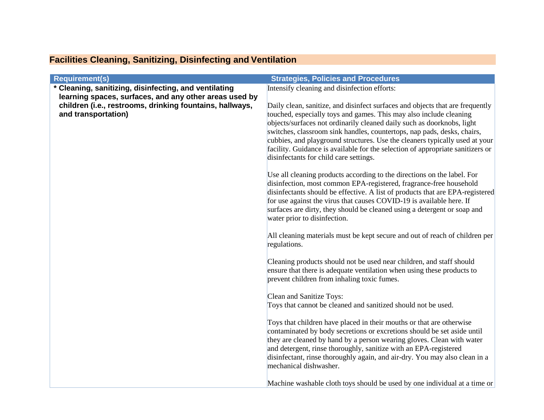| <b>Requirement(s)</b>                                    | <b>Strategies, Policies and Procedures</b>                                                                                                          |
|----------------------------------------------------------|-----------------------------------------------------------------------------------------------------------------------------------------------------|
| * Cleaning, sanitizing, disinfecting, and ventilating    | Intensify cleaning and disinfection efforts:                                                                                                        |
| learning spaces, surfaces, and any other areas used by   |                                                                                                                                                     |
| children (i.e., restrooms, drinking fountains, hallways, | Daily clean, sanitize, and disinfect surfaces and objects that are frequently                                                                       |
| and transportation)                                      | touched, especially toys and games. This may also include cleaning                                                                                  |
|                                                          | objects/surfaces not ordinarily cleaned daily such as doorknobs, light<br>switches, classroom sink handles, countertops, nap pads, desks, chairs,   |
|                                                          | cubbies, and playground structures. Use the cleaners typically used at your                                                                         |
|                                                          | facility. Guidance is available for the selection of appropriate sanitizers or                                                                      |
|                                                          | disinfectants for child care settings.                                                                                                              |
|                                                          |                                                                                                                                                     |
|                                                          | Use all cleaning products according to the directions on the label. For                                                                             |
|                                                          | disinfection, most common EPA-registered, fragrance-free household<br>disinfectants should be effective. A list of products that are EPA-registered |
|                                                          | for use against the virus that causes COVID-19 is available here. If                                                                                |
|                                                          | surfaces are dirty, they should be cleaned using a detergent or soap and                                                                            |
|                                                          | water prior to disinfection.                                                                                                                        |
|                                                          |                                                                                                                                                     |
|                                                          | All cleaning materials must be kept secure and out of reach of children per                                                                         |
|                                                          | regulations.                                                                                                                                        |
|                                                          | Cleaning products should not be used near children, and staff should                                                                                |
|                                                          | ensure that there is adequate ventilation when using these products to                                                                              |
|                                                          | prevent children from inhaling toxic fumes.                                                                                                         |
|                                                          |                                                                                                                                                     |
|                                                          | <b>Clean and Sanitize Toys:</b>                                                                                                                     |
|                                                          | Toys that cannot be cleaned and sanitized should not be used.                                                                                       |
|                                                          | Toys that children have placed in their mouths or that are otherwise                                                                                |
|                                                          | contaminated by body secretions or excretions should be set aside until                                                                             |
|                                                          | they are cleaned by hand by a person wearing gloves. Clean with water                                                                               |
|                                                          | and detergent, rinse thoroughly, sanitize with an EPA-registered                                                                                    |
|                                                          | disinfectant, rinse thoroughly again, and air-dry. You may also clean in a                                                                          |
|                                                          | mechanical dishwasher.                                                                                                                              |
|                                                          | Machine washable cloth toys should be used by one individual at a time or                                                                           |

# **Facilities Cleaning, Sanitizing, Disinfecting and Ventilation**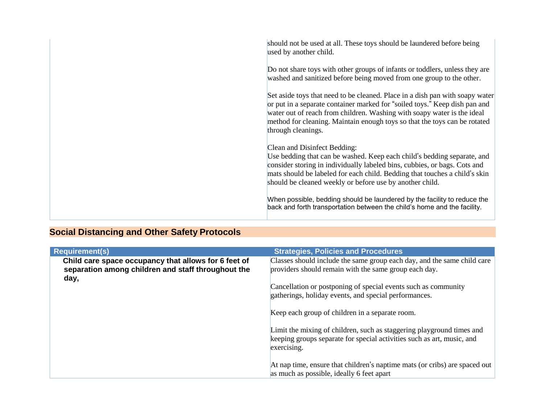| should not be used at all. These toys should be laundered before being<br>used by another child.                                                                                                                                                                                                                                         |
|------------------------------------------------------------------------------------------------------------------------------------------------------------------------------------------------------------------------------------------------------------------------------------------------------------------------------------------|
| Do not share toys with other groups of infants or toddlers, unless they are<br>washed and sanitized before being moved from one group to the other.                                                                                                                                                                                      |
| Set aside toys that need to be cleaned. Place in a dish pan with soapy water<br>or put in a separate container marked for "soiled toys." Keep dish pan and<br>water out of reach from children. Washing with soapy water is the ideal<br>method for cleaning. Maintain enough toys so that the toys can be rotated<br>through cleanings. |
| Clean and Disinfect Bedding:<br>Use bedding that can be washed. Keep each child's bedding separate, and<br>consider storing in individually labeled bins, cubbies, or bags. Cots and<br>mats should be labeled for each child. Bedding that touches a child's skin<br>should be cleaned weekly or before use by another child.           |
| When possible, bedding should be laundered by the facility to reduce the<br>back and forth transportation between the child's home and the facility.                                                                                                                                                                                     |

# **Social Distancing and Other Safety Protocols**

| <b>Requirement(s)</b>                                                                                              | <b>Strategies, Policies and Procedures</b>                                                                                                                     |
|--------------------------------------------------------------------------------------------------------------------|----------------------------------------------------------------------------------------------------------------------------------------------------------------|
| Child care space occupancy that allows for 6 feet of<br>separation among children and staff throughout the<br>day, | Classes should include the same group each day, and the same child care<br>providers should remain with the same group each day.                               |
|                                                                                                                    | Cancellation or postponing of special events such as community<br>gatherings, holiday events, and special performances.                                        |
|                                                                                                                    | Keep each group of children in a separate room.                                                                                                                |
|                                                                                                                    | Limit the mixing of children, such as staggering playground times and<br>keeping groups separate for special activities such as art, music, and<br>exercising. |
|                                                                                                                    | At nap time, ensure that children's naptime mats (or cribs) are spaced out<br>as much as possible, ideally 6 feet apart                                        |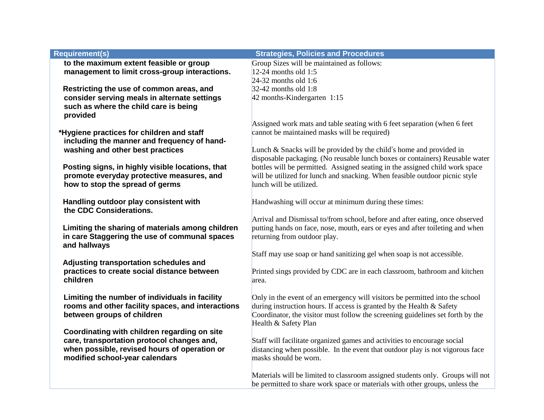| <b>Requirement(s)</b>                             | <b>Strategies, Policies and Procedures</b>                                     |
|---------------------------------------------------|--------------------------------------------------------------------------------|
| to the maximum extent feasible or group           | Group Sizes will be maintained as follows:                                     |
| management to limit cross-group interactions.     | 12-24 months old $1:5$                                                         |
|                                                   | $24-32$ months old 1:6                                                         |
| Restricting the use of common areas, and          | $32-42$ months old 1:8                                                         |
| consider serving meals in alternate settings      | 42 months-Kindergarten 1:15                                                    |
| such as where the child care is being             |                                                                                |
| provided                                          |                                                                                |
|                                                   | Assigned work mats and table seating with 6 feet separation (when 6 feet       |
| *Hygiene practices for children and staff         | cannot be maintained masks will be required)                                   |
| including the manner and frequency of hand-       |                                                                                |
| washing and other best practices                  | Lunch & Snacks will be provided by the child's home and provided in            |
|                                                   | disposable packaging. (No reusable lunch boxes or containers) Reusable water   |
| Posting signs, in highly visible locations, that  | bottles will be permitted. Assigned seating in the assigned child work space   |
| promote everyday protective measures, and         | will be utilized for lunch and snacking. When feasible outdoor picnic style    |
| how to stop the spread of germs                   | lunch will be utilized.                                                        |
|                                                   |                                                                                |
| Handling outdoor play consistent with             | Handwashing will occur at minimum during these times:                          |
| the CDC Considerations.                           |                                                                                |
|                                                   | Arrival and Dismissal to/from school, before and after eating, once observed   |
| Limiting the sharing of materials among children  | putting hands on face, nose, mouth, ears or eyes and after toileting and when  |
| in care Staggering the use of communal spaces     | returning from outdoor play.                                                   |
| and hallways                                      | Staff may use soap or hand sanitizing gel when soap is not accessible.         |
| Adjusting transportation schedules and            |                                                                                |
| practices to create social distance between       | Printed sings provided by CDC are in each classroom, bathroom and kitchen      |
| children                                          | area.                                                                          |
|                                                   |                                                                                |
| Limiting the number of individuals in facility    | Only in the event of an emergency will visitors be permitted into the school   |
| rooms and other facility spaces, and interactions | during instruction hours. If access is granted by the Health & Safety          |
| between groups of children                        | Coordinator, the visitor must follow the screening guidelines set forth by the |
|                                                   | Health & Safety Plan                                                           |
| Coordinating with children regarding on site      |                                                                                |
| care, transportation protocol changes and,        | Staff will facilitate organized games and activities to encourage social       |
| when possible, revised hours of operation or      | distancing when possible. In the event that outdoor play is not vigorous face  |
| modified school-year calendars                    | masks should be worn.                                                          |
|                                                   |                                                                                |
|                                                   | Materials will be limited to classroom assigned students only. Groups will not |
|                                                   | be permitted to share work space or materials with other groups, unless the    |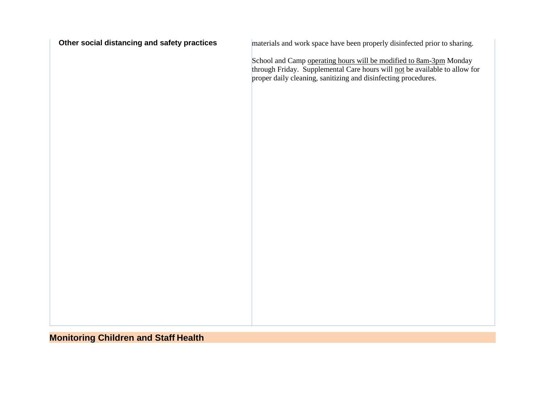| Other social distancing and safety practices | materials and work space have been properly disinfected prior to sharing.                                                                                                                                          |
|----------------------------------------------|--------------------------------------------------------------------------------------------------------------------------------------------------------------------------------------------------------------------|
|                                              | School and Camp operating hours will be modified to 8am-3pm Monday<br>through Friday. Supplemental Care hours will not be available to allow for<br>proper daily cleaning, sanitizing and disinfecting procedures. |
|                                              |                                                                                                                                                                                                                    |
|                                              |                                                                                                                                                                                                                    |
|                                              |                                                                                                                                                                                                                    |
|                                              |                                                                                                                                                                                                                    |
|                                              |                                                                                                                                                                                                                    |
|                                              |                                                                                                                                                                                                                    |
|                                              |                                                                                                                                                                                                                    |
|                                              |                                                                                                                                                                                                                    |
|                                              |                                                                                                                                                                                                                    |
|                                              |                                                                                                                                                                                                                    |

# **Monitoring Children and Staff Health**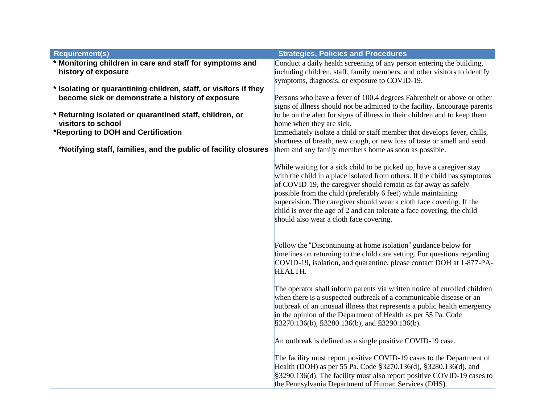| <b>Requirement(s)</b>                                                                                                | <b>Strategies, Policies and Procedures</b>                                                                                                                                                                                                                                                                                                                                                                                                                                         |
|----------------------------------------------------------------------------------------------------------------------|------------------------------------------------------------------------------------------------------------------------------------------------------------------------------------------------------------------------------------------------------------------------------------------------------------------------------------------------------------------------------------------------------------------------------------------------------------------------------------|
| * Monitoring children in care and staff for symptoms and<br>history of exposure                                      | Conduct a daily health screening of any person entering the building,<br>including children, staff, family members, and other visitors to identify                                                                                                                                                                                                                                                                                                                                 |
|                                                                                                                      | symptoms, diagnosis, or exposure to COVID-19.                                                                                                                                                                                                                                                                                                                                                                                                                                      |
| * Isolating or quarantining children, staff, or visitors if they<br>become sick or demonstrate a history of exposure | Persons who have a fever of 100.4 degrees Fahrenheit or above or other                                                                                                                                                                                                                                                                                                                                                                                                             |
|                                                                                                                      | signs of illness should not be admitted to the facility. Encourage parents                                                                                                                                                                                                                                                                                                                                                                                                         |
| * Returning isolated or quarantined staff, children, or                                                              | to be on the alert for signs of illness in their children and to keep them                                                                                                                                                                                                                                                                                                                                                                                                         |
| visitors to school                                                                                                   | home when they are sick.                                                                                                                                                                                                                                                                                                                                                                                                                                                           |
| *Reporting to DOH and Certification                                                                                  | Immediately isolate a child or staff member that develops fever, chills,                                                                                                                                                                                                                                                                                                                                                                                                           |
|                                                                                                                      | shortness of breath, new cough, or new loss of taste or smell and send                                                                                                                                                                                                                                                                                                                                                                                                             |
| *Notifying staff, families, and the public of facility closures                                                      | them and any family members home as soon as possible.                                                                                                                                                                                                                                                                                                                                                                                                                              |
|                                                                                                                      | While waiting for a sick child to be picked up, have a caregiver stay<br>with the child in a place isolated from others. If the child has symptoms<br>of COVID-19, the caregiver should remain as far away as safely<br>possible from the child (preferably 6 feet) while maintaining<br>supervision. The caregiver should wear a cloth face covering. If the<br>child is over the age of 2 and can tolerate a face covering, the child<br>should also wear a cloth face covering. |
|                                                                                                                      | Follow the "Discontinuing at home isolation" guidance below for<br>timelines on returning to the child care setting. For questions regarding<br>COVID-19, isolation, and quarantine, please contact DOH at 1-877-PA-<br>HEALTH.                                                                                                                                                                                                                                                    |
|                                                                                                                      | The operator shall inform parents via written notice of enrolled children<br>when there is a suspected outbreak of a communicable disease or an<br>outbreak of an unusual illness that represents a public health emergency<br>in the opinion of the Department of Health as per 55 Pa. Code<br>§3270.136(b), §3280.136(b), and §3290.136(b).                                                                                                                                      |
|                                                                                                                      | An outbreak is defined as a single positive COVID-19 case.                                                                                                                                                                                                                                                                                                                                                                                                                         |
|                                                                                                                      | The facility must report positive COVID-19 cases to the Department of<br>Health (DOH) as per 55 Pa. Code §3270.136(d), §3280.136(d), and<br>§3290.136(d). The facility must also report positive COVID-19 cases to<br>the Pennsylvania Department of Human Services (DHS).                                                                                                                                                                                                         |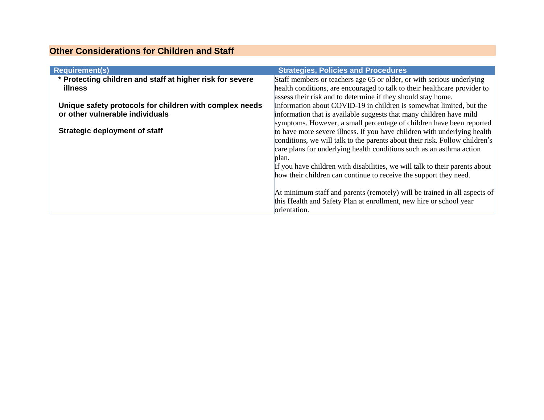## **Other Considerations for Children and Staff**

| <b>Requirement(s)</b>                                     | <b>Strategies, Policies and Procedures</b>                                  |
|-----------------------------------------------------------|-----------------------------------------------------------------------------|
| * Protecting children and staff at higher risk for severe | Staff members or teachers age 65 or older, or with serious underlying       |
| illness                                                   | health conditions, are encouraged to talk to their healthcare provider to   |
|                                                           | assess their risk and to determine if they should stay home.                |
| Unique safety protocols for children with complex needs   | Information about COVID-19 in children is somewhat limited, but the         |
| or other vulnerable individuals                           | information that is available suggests that many children have mild         |
|                                                           | symptoms. However, a small percentage of children have been reported        |
| <b>Strategic deployment of staff</b>                      | to have more severe illness. If you have children with underlying health    |
|                                                           | conditions, we will talk to the parents about their risk. Follow children's |
|                                                           | care plans for underlying health conditions such as an asthma action        |
|                                                           | plan.                                                                       |
|                                                           | If you have children with disabilities, we will talk to their parents about |
|                                                           | how their children can continue to receive the support they need.           |
|                                                           |                                                                             |
|                                                           | At minimum staff and parents (remotely) will be trained in all aspects of   |
|                                                           | this Health and Safety Plan at enrollment, new hire or school year          |
|                                                           | orientation.                                                                |